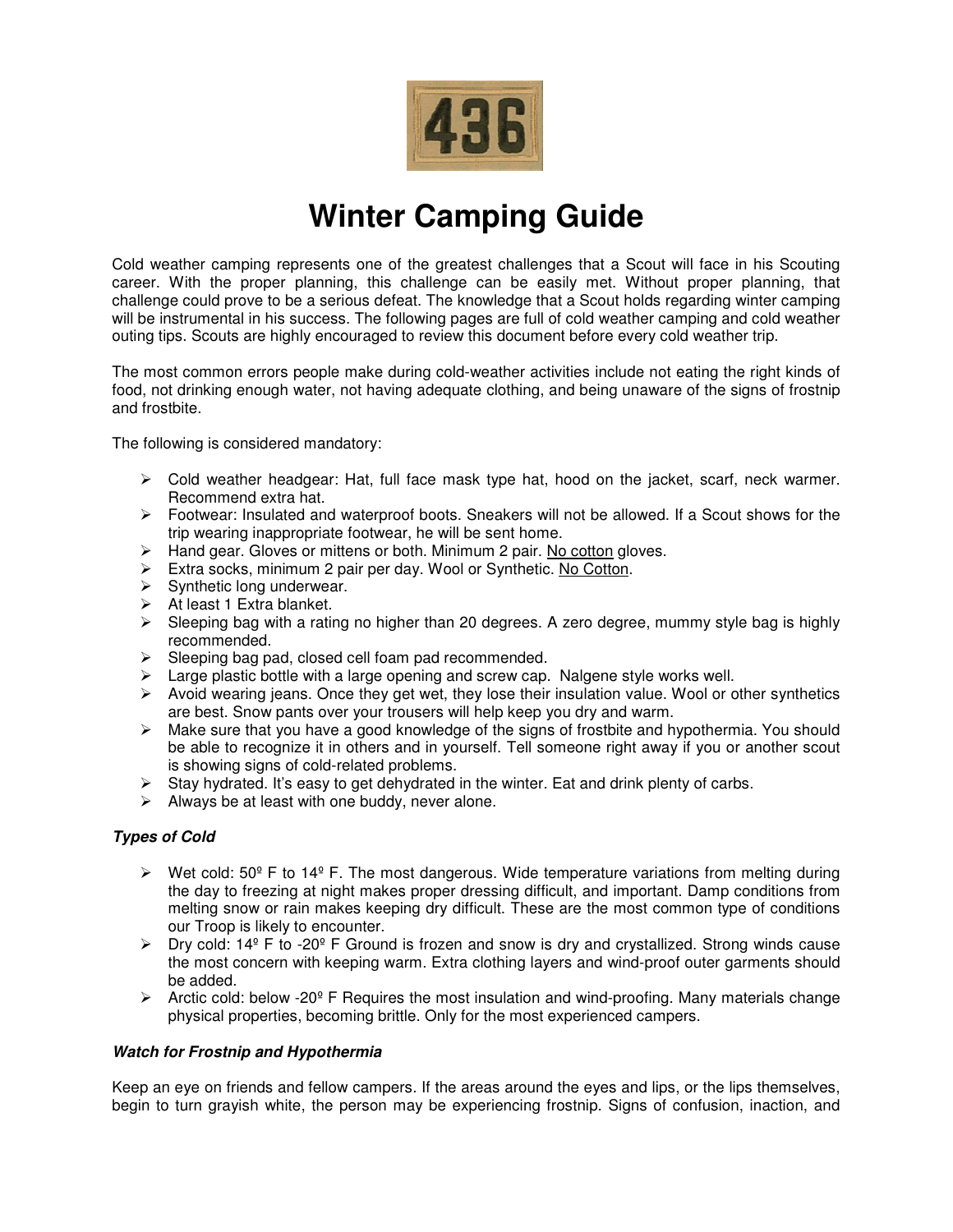

# **Winter Camping Guide**

Cold weather camping represents one of the greatest challenges that a Scout will face in his Scouting career. With the proper planning, this challenge can be easily met. Without proper planning, that challenge could prove to be a serious defeat. The knowledge that a Scout holds regarding winter camping will be instrumental in his success. The following pages are full of cold weather camping and cold weather outing tips. Scouts are highly encouraged to review this document before every cold weather trip.

The most common errors people make during cold-weather activities include not eating the right kinds of food, not drinking enough water, not having adequate clothing, and being unaware of the signs of frostnip and frostbite.

The following is considered mandatory:

- $\triangleright$  Cold weather headgear: Hat, full face mask type hat, hood on the jacket, scarf, neck warmer. Recommend extra hat.
- $\triangleright$  Footwear: Insulated and waterproof boots. Sneakers will not be allowed. If a Scout shows for the trip wearing inappropriate footwear, he will be sent home.
- $\triangleright$  Hand gear. Gloves or mittens or both. Minimum 2 pair. No cotton gloves.
- Extra socks, minimum 2 pair per day. Wool or Synthetic. No Cotton.
- $\triangleright$  Synthetic long underwear.
- $\triangleright$  At least 1 Extra blanket.
- $\triangleright$  Sleeping bag with a rating no higher than 20 degrees. A zero degree, mummy style bag is highly recommended.
- $\triangleright$  Sleeping bag pad, closed cell foam pad recommended.
- $\triangleright$  Large plastic bottle with a large opening and screw cap. Nalgene style works well.
- $\triangleright$  Avoid wearing jeans. Once they get wet, they lose their insulation value. Wool or other synthetics are best. Snow pants over your trousers will help keep you dry and warm.
- $\triangleright$  Make sure that you have a good knowledge of the signs of frostbite and hypothermia. You should be able to recognize it in others and in yourself. Tell someone right away if you or another scout is showing signs of cold-related problems.
- $\triangleright$  Stay hydrated. It's easy to get dehydrated in the winter. Eat and drink plenty of carbs.
- $\triangleright$  Always be at least with one buddy, never alone.

## **Types of Cold**

- $\triangleright$  Wet cold: 50<sup>°</sup> F to 14<sup>°</sup> F. The most dangerous. Wide temperature variations from melting during the day to freezing at night makes proper dressing difficult, and important. Damp conditions from melting snow or rain makes keeping dry difficult. These are the most common type of conditions our Troop is likely to encounter.
- $\triangleright$  Dry cold: 14<sup>o</sup> F to -20<sup>o</sup> F Ground is frozen and snow is dry and crystallized. Strong winds cause the most concern with keeping warm. Extra clothing layers and wind-proof outer garments should be added.
- $\triangleright$  Arctic cold: below -20<sup>°</sup> F Requires the most insulation and wind-proofing. Many materials change physical properties, becoming brittle. Only for the most experienced campers.

## **Watch for Frostnip and Hypothermia**

Keep an eye on friends and fellow campers. If the areas around the eyes and lips, or the lips themselves, begin to turn grayish white, the person may be experiencing frostnip. Signs of confusion, inaction, and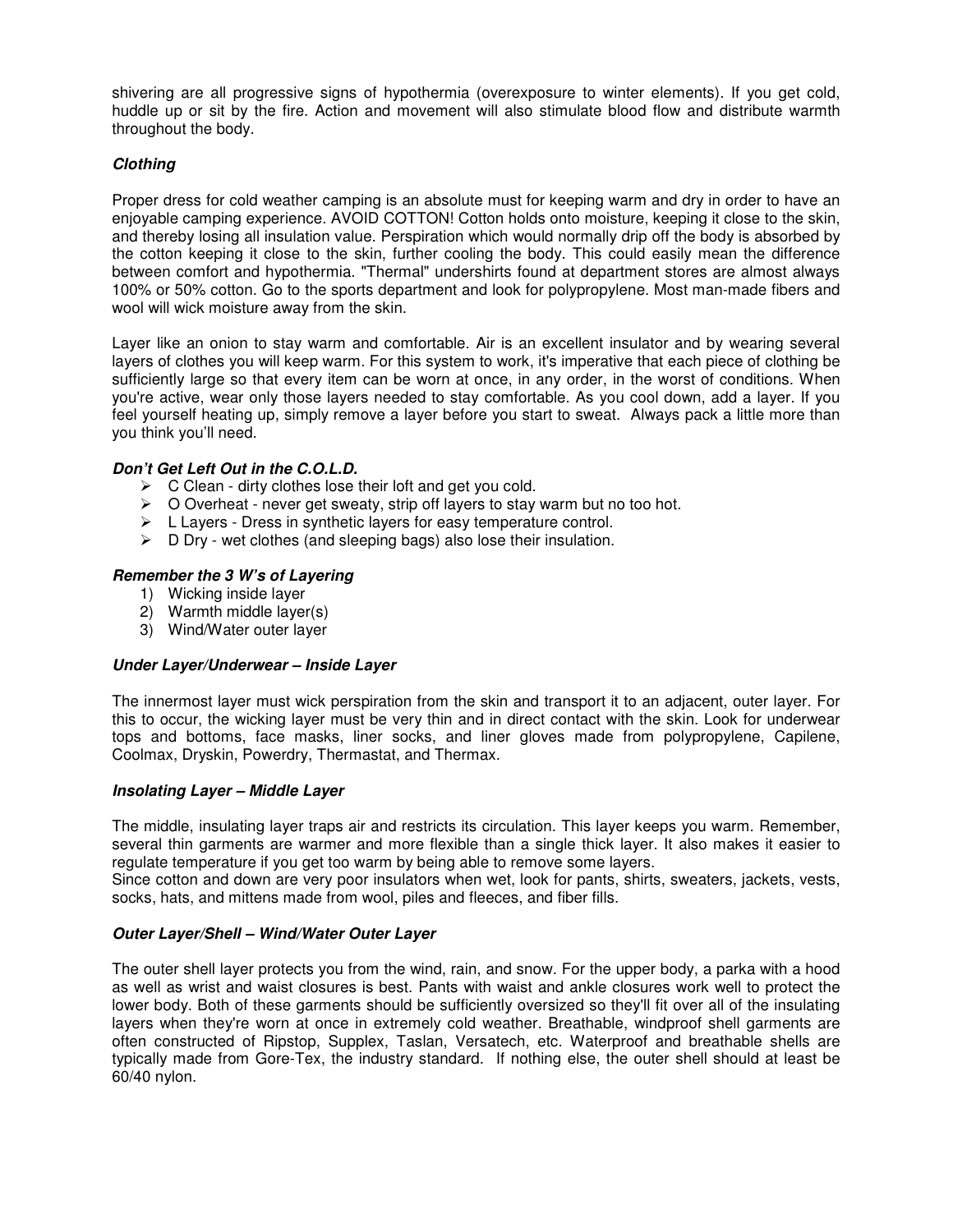shivering are all progressive signs of hypothermia (overexposure to winter elements). If you get cold, huddle up or sit by the fire. Action and movement will also stimulate blood flow and distribute warmth throughout the body.

# **Clothing**

Proper dress for cold weather camping is an absolute must for keeping warm and dry in order to have an enjoyable camping experience. AVOID COTTON! Cotton holds onto moisture, keeping it close to the skin, and thereby losing all insulation value. Perspiration which would normally drip off the body is absorbed by the cotton keeping it close to the skin, further cooling the body. This could easily mean the difference between comfort and hypothermia. "Thermal" undershirts found at department stores are almost always 100% or 50% cotton. Go to the sports department and look for polypropylene. Most man-made fibers and wool will wick moisture away from the skin.

Layer like an onion to stay warm and comfortable. Air is an excellent insulator and by wearing several layers of clothes you will keep warm. For this system to work, it's imperative that each piece of clothing be sufficiently large so that every item can be worn at once, in any order, in the worst of conditions. When you're active, wear only those layers needed to stay comfortable. As you cool down, add a layer. If you feel yourself heating up, simply remove a layer before you start to sweat. Always pack a little more than you think you'll need.

## **Don't Get Left Out in the C.O.L.D.**

- $\triangleright$  C Clean dirty clothes lose their loft and get you cold.
- $\triangleright$  O Overheat never get sweaty, strip off layers to stay warm but no too hot.
- $\triangleright$  L Layers Dress in synthetic layers for easy temperature control.
- $\triangleright$  D Dry wet clothes (and sleeping bags) also lose their insulation.

## **Remember the 3 W's of Layering**

- 1) Wicking inside layer
- 2) Warmth middle layer(s)
- 3) Wind/Water outer layer

#### **Under Layer/Underwear – Inside Layer**

The innermost layer must wick perspiration from the skin and transport it to an adjacent, outer layer. For this to occur, the wicking layer must be very thin and in direct contact with the skin. Look for underwear tops and bottoms, face masks, liner socks, and liner gloves made from polypropylene, Capilene, Coolmax, Dryskin, Powerdry, Thermastat, and Thermax.

#### **Insolating Layer – Middle Layer**

The middle, insulating layer traps air and restricts its circulation. This layer keeps you warm. Remember, several thin garments are warmer and more flexible than a single thick layer. It also makes it easier to regulate temperature if you get too warm by being able to remove some layers.

Since cotton and down are very poor insulators when wet, look for pants, shirts, sweaters, jackets, vests, socks, hats, and mittens made from wool, piles and fleeces, and fiber fills.

#### **Outer Layer/Shell – Wind/Water Outer Layer**

The outer shell layer protects you from the wind, rain, and snow. For the upper body, a parka with a hood as well as wrist and waist closures is best. Pants with waist and ankle closures work well to protect the lower body. Both of these garments should be sufficiently oversized so they'll fit over all of the insulating layers when they're worn at once in extremely cold weather. Breathable, windproof shell garments are often constructed of Ripstop, Supplex, Taslan, Versatech, etc. Waterproof and breathable shells are typically made from Gore-Tex, the industry standard. If nothing else, the outer shell should at least be 60/40 nylon.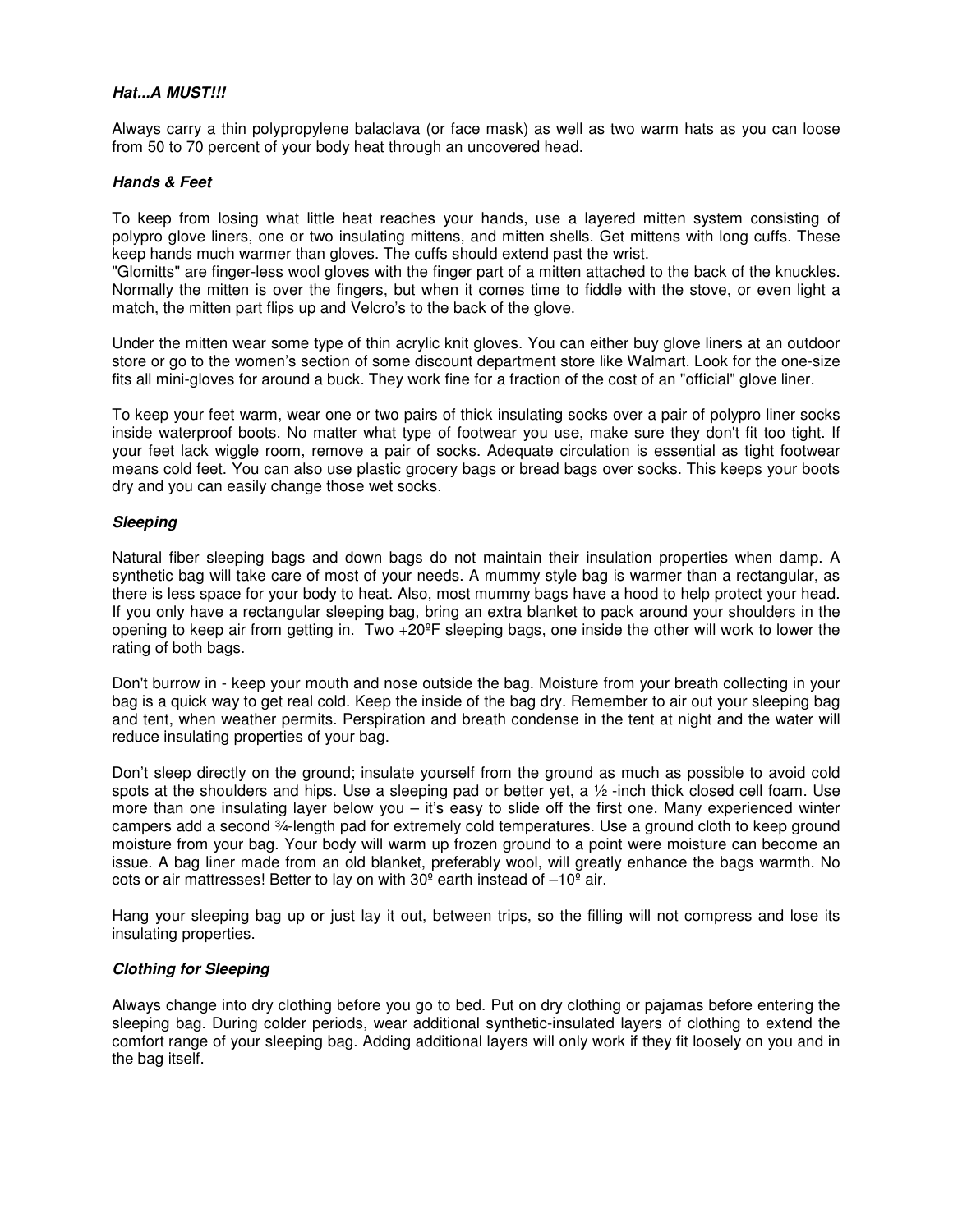#### **Hat...A MUST!!!**

Always carry a thin polypropylene balaclava (or face mask) as well as two warm hats as you can loose from 50 to 70 percent of your body heat through an uncovered head.

#### **Hands & Feet**

To keep from losing what little heat reaches your hands, use a layered mitten system consisting of polypro glove liners, one or two insulating mittens, and mitten shells. Get mittens with long cuffs. These keep hands much warmer than gloves. The cuffs should extend past the wrist.

"Glomitts" are finger-less wool gloves with the finger part of a mitten attached to the back of the knuckles. Normally the mitten is over the fingers, but when it comes time to fiddle with the stove, or even light a match, the mitten part flips up and Velcro's to the back of the glove.

Under the mitten wear some type of thin acrylic knit gloves. You can either buy glove liners at an outdoor store or go to the women's section of some discount department store like Walmart. Look for the one-size fits all mini-gloves for around a buck. They work fine for a fraction of the cost of an "official" glove liner.

To keep your feet warm, wear one or two pairs of thick insulating socks over a pair of polypro liner socks inside waterproof boots. No matter what type of footwear you use, make sure they don't fit too tight. If your feet lack wiggle room, remove a pair of socks. Adequate circulation is essential as tight footwear means cold feet. You can also use plastic grocery bags or bread bags over socks. This keeps your boots dry and you can easily change those wet socks.

#### **Sleeping**

Natural fiber sleeping bags and down bags do not maintain their insulation properties when damp. A synthetic bag will take care of most of your needs. A mummy style bag is warmer than a rectangular, as there is less space for your body to heat. Also, most mummy bags have a hood to help protect your head. If you only have a rectangular sleeping bag, bring an extra blanket to pack around your shoulders in the opening to keep air from getting in. Two +20ºF sleeping bags, one inside the other will work to lower the rating of both bags.

Don't burrow in - keep your mouth and nose outside the bag. Moisture from your breath collecting in your bag is a quick way to get real cold. Keep the inside of the bag dry. Remember to air out your sleeping bag and tent, when weather permits. Perspiration and breath condense in the tent at night and the water will reduce insulating properties of your bag.

Don't sleep directly on the ground; insulate yourself from the ground as much as possible to avoid cold spots at the shoulders and hips. Use a sleeping pad or better yet, a  $\frac{1}{2}$ -inch thick closed cell foam. Use more than one insulating layer below you  $-$  it's easy to slide off the first one. Many experienced winter campers add a second ¾-length pad for extremely cold temperatures. Use a ground cloth to keep ground moisture from your bag. Your body will warm up frozen ground to a point were moisture can become an issue. A bag liner made from an old blanket, preferably wool, will greatly enhance the bags warmth. No cots or air mattresses! Better to lay on with 30º earth instead of –10º air.

Hang your sleeping bag up or just lay it out, between trips, so the filling will not compress and lose its insulating properties.

#### **Clothing for Sleeping**

Always change into dry clothing before you go to bed. Put on dry clothing or pajamas before entering the sleeping bag. During colder periods, wear additional synthetic-insulated layers of clothing to extend the comfort range of your sleeping bag. Adding additional layers will only work if they fit loosely on you and in the bag itself.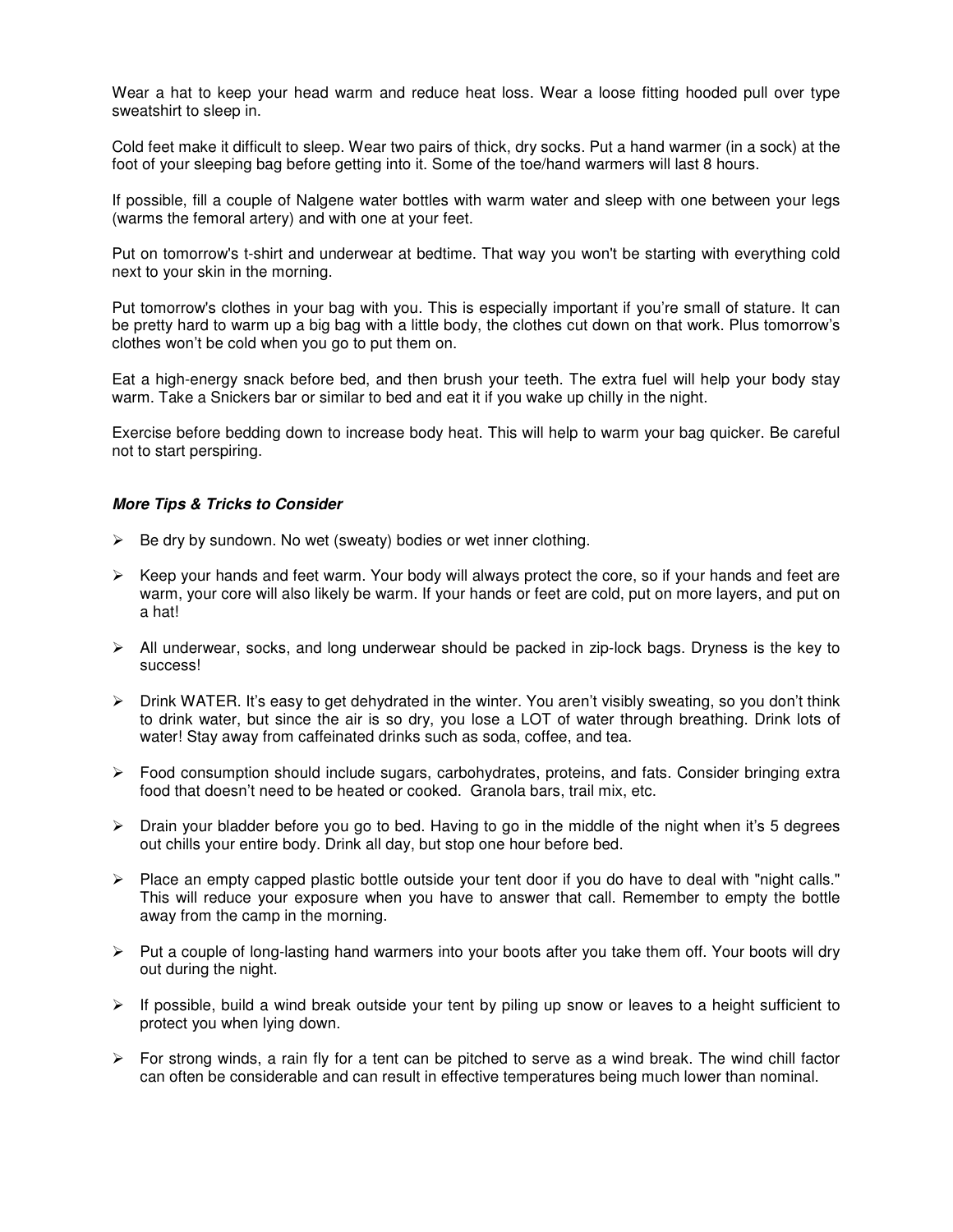Wear a hat to keep your head warm and reduce heat loss. Wear a loose fitting hooded pull over type sweatshirt to sleep in.

Cold feet make it difficult to sleep. Wear two pairs of thick, dry socks. Put a hand warmer (in a sock) at the foot of your sleeping bag before getting into it. Some of the toe/hand warmers will last 8 hours.

If possible, fill a couple of Nalgene water bottles with warm water and sleep with one between your legs (warms the femoral artery) and with one at your feet.

Put on tomorrow's t-shirt and underwear at bedtime. That way you won't be starting with everything cold next to your skin in the morning.

Put tomorrow's clothes in your bag with you. This is especially important if you're small of stature. It can be pretty hard to warm up a big bag with a little body, the clothes cut down on that work. Plus tomorrow's clothes won't be cold when you go to put them on.

Eat a high-energy snack before bed, and then brush your teeth. The extra fuel will help your body stay warm. Take a Snickers bar or similar to bed and eat it if you wake up chilly in the night.

Exercise before bedding down to increase body heat. This will help to warm your bag quicker. Be careful not to start perspiring.

#### **More Tips & Tricks to Consider**

- $\triangleright$  Be dry by sundown. No wet (sweaty) bodies or wet inner clothing.
- $\triangleright$  Keep your hands and feet warm. Your body will always protect the core, so if your hands and feet are warm, your core will also likely be warm. If your hands or feet are cold, put on more layers, and put on a hat!
- $\triangleright$  All underwear, socks, and long underwear should be packed in zip-lock bags. Dryness is the key to success!
- $\triangleright$  Drink WATER. It's easy to get dehydrated in the winter. You aren't visibly sweating, so you don't think to drink water, but since the air is so dry, you lose a LOT of water through breathing. Drink lots of water! Stay away from caffeinated drinks such as soda, coffee, and tea.
- $\triangleright$  Food consumption should include sugars, carbohydrates, proteins, and fats. Consider bringing extra food that doesn't need to be heated or cooked. Granola bars, trail mix, etc.
- > Drain your bladder before you go to bed. Having to go in the middle of the night when it's 5 degrees out chills your entire body. Drink all day, but stop one hour before bed.
- Place an empty capped plastic bottle outside your tent door if you do have to deal with "night calls." This will reduce your exposure when you have to answer that call. Remember to empty the bottle away from the camp in the morning.
- $\triangleright$  Put a couple of long-lasting hand warmers into your boots after you take them off. Your boots will dry out during the night.
- $\triangleright$  If possible, build a wind break outside your tent by piling up snow or leaves to a height sufficient to protect you when lying down.
- $\triangleright$  For strong winds, a rain fly for a tent can be pitched to serve as a wind break. The wind chill factor can often be considerable and can result in effective temperatures being much lower than nominal.